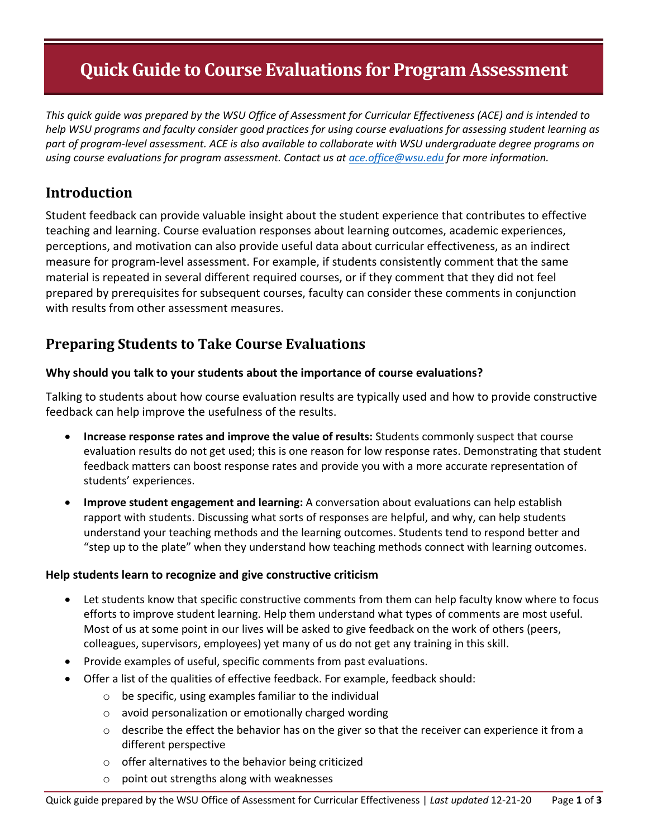# **Quick Guide to Course Evaluations for Program Assessment**

*This quick guide was prepared by the WSU Office of Assessment for Curricular Effectiveness (ACE) and is intended to help WSU programs and faculty consider good practices for using course evaluations for assessing student learning as part of program-level assessment. ACE is also available to collaborate with WSU undergraduate degree programs on using course evaluations for program assessment. Contact us a[t ace.office@wsu.edu](mailto:ace.office@wsu.edu) for more information.* 

## **Introduction**

Student feedback can provide valuable insight about the student experience that contributes to effective teaching and learning. Course evaluation responses about learning outcomes, academic experiences, perceptions, and motivation can also provide useful data about curricular effectiveness, as an indirect measure for program-level assessment. For example, if students consistently comment that the same material is repeated in several different required courses, or if they comment that they did not feel prepared by prerequisites for subsequent courses, faculty can consider these comments in conjunction with results from other assessment measures.

### **Preparing Students to Take Course Evaluations**

#### **Why should you talk to your students about the importance of course evaluations?**

Talking to students about how course evaluation results are typically used and how to provide constructive feedback can help improve the usefulness of the results.

- **Increase response rates and improve the value of results:** Students commonly suspect that course evaluation results do not get used; this is one reason for low response rates. Demonstrating that student feedback matters can boost response rates and provide you with a more accurate representation of students' experiences.
- **Improve student engagement and learning:** A conversation about evaluations can help establish rapport with students. Discussing what sorts of responses are helpful, and why, can help students understand your teaching methods and the learning outcomes. Students tend to respond better and "step up to the plate" when they understand how teaching methods connect with learning outcomes.

#### **Help students learn to recognize and give constructive criticism**

- Let students know that specific constructive comments from them can help faculty know where to focus efforts to improve student learning. Help them understand what types of comments are most useful. Most of us at some point in our lives will be asked to give feedback on the work of others (peers, colleagues, supervisors, employees) yet many of us do not get any training in this skill.
- Provide examples of useful, specific comments from past evaluations.
- Offer a list of the qualities of effective feedback. For example, feedback should:
	- o be specific, using examples familiar to the individual
	- o avoid personalization or emotionally charged wording
	- o describe the effect the behavior has on the giver so that the receiver can experience it from a different perspective
	- o offer alternatives to the behavior being criticized
	- o point out strengths along with weaknesses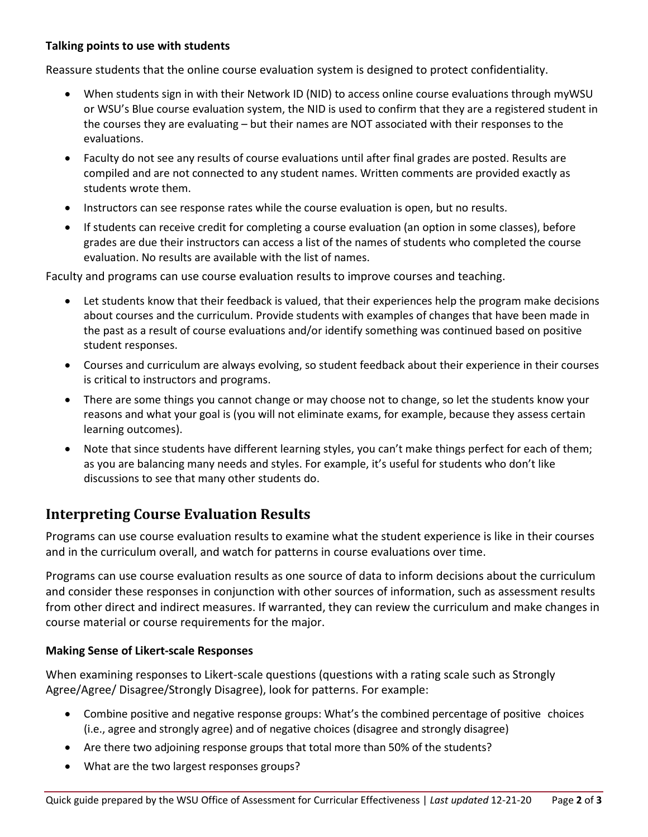#### **Talking points to use with students**

Reassure students that the online course evaluation system is designed to protect confidentiality.

- When students sign in with their Network ID (NID) to access online course evaluations through myWSU or WSU's Blue course evaluation system, the NID is used to confirm that they are a registered student in the courses they are evaluating – but their names are NOT associated with their responses to the evaluations.
- Faculty do not see any results of course evaluations until after final grades are posted. Results are compiled and are not connected to any student names. Written comments are provided exactly as students wrote them.
- Instructors can see response rates while the course evaluation is open, but no results.
- If students can receive credit for completing a course evaluation (an option in some classes), before grades are due their instructors can access a list of the names of students who completed the course evaluation. No results are available with the list of names.

Faculty and programs can use course evaluation results to improve courses and teaching.

- Let students know that their feedback is valued, that their experiences help the program make decisions about courses and the curriculum. Provide students with examples of changes that have been made in the past as a result of course evaluations and/or identify something was continued based on positive student responses.
- Courses and curriculum are always evolving, so student feedback about their experience in their courses is critical to instructors and programs.
- There are some things you cannot change or may choose not to change, so let the students know your reasons and what your goal is (you will not eliminate exams, for example, because they assess certain learning outcomes).
- Note that since students have different learning styles, you can't make things perfect for each of them; as you are balancing many needs and styles. For example, it's useful for students who don't like discussions to see that many other students do.

### **Interpreting Course Evaluation Results**

Programs can use course evaluation results to examine what the student experience is like in their courses and in the curriculum overall, and watch for patterns in course evaluations over time.

Programs can use course evaluation results as one source of data to inform decisions about the curriculum and consider these responses in conjunction with other sources of information, such as assessment results from other direct and indirect measures. If warranted, they can review the curriculum and make changes in course material or course requirements for the major.

#### **Making Sense of Likert-scale Responses**

When examining responses to Likert-scale questions (questions with a rating scale such as Strongly Agree/Agree/ Disagree/Strongly Disagree), look for patterns. For example:

- Combine positive and negative response groups: What's the combined percentage of positive choices (i.e., agree and strongly agree) and of negative choices (disagree and strongly disagree)
- Are there two adjoining response groups that total more than 50% of the students?
- What are the two largest responses groups?